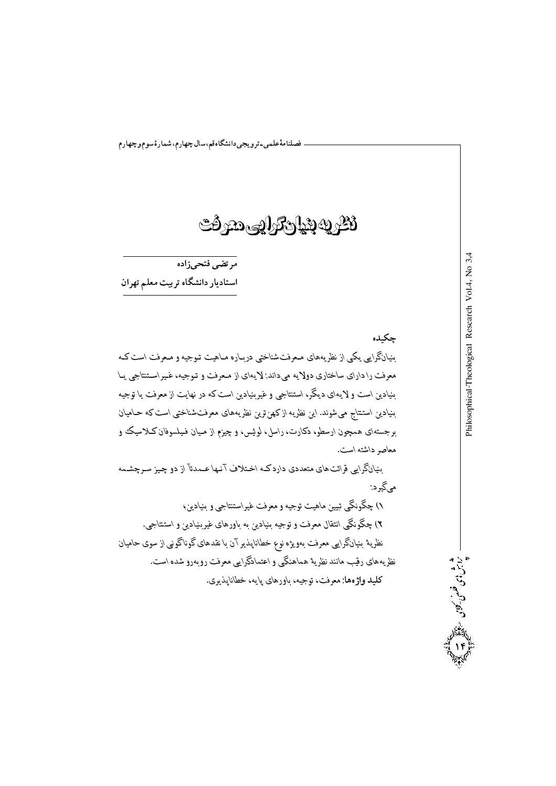## ثطرية بنيارترابته مترفت

مر تضي فتحيزاده استاديار دانشگاه تربيت معلم تهران

چکیده بنیانگرایبی یکمی از نظریههای مـعرفتشناختبی دربـاره مـاهیت تـوجیه و مـعرفت است کـه معرفت را دارای ساختاری دولایه می(داند: لایهای از مـعرفت و تـوجیه، غـیراسـتنتاجی پــا بنیادین است و لایهای دیگر، استنتاجی و غیربنیادین است که در نهایت از معرفت یا توجیه بنیادین استنتاج میشوند. این نظریه ازکهنiترین نظریههای معرفتشناختبی است که حـامیان برجستهای همچون ارسطو، دکارت، راسل، لوئیس، و چیزم از مـیان فـیلسوفان کـلاسیک و معاصر داشته است.

بنیانگرایی قرائت های متعددی داردکـه اخـتلاف آنـها عـمدتاً از دو چـیز سـرچشـمه مي گير د:

۱) چگونگی تبیین ماهیت توجیه و معرفت غیراستنتاجی و بنیادین؛ ۲) چگونگی انتقال معرفت و توجیه بنیادین به باورهای غیربنیادین و استنتاجی. نظریهٔ بنیانگرایی معرفت بهویژه نوع خطاناپذیر آن با نقدهای گوناگونی از سوی حامیان نظریههای رقیب مانند نظریهٔ هماهنگی و اعتمادگرایی معرفت روبهرو شده است. كليد واژەها: معرفت، توجيه، باورهاي پايه، خطاناپذيري.

شوش بی فلس کان<br>پرانش فلس کانگوانی

 $3<sub>4</sub>$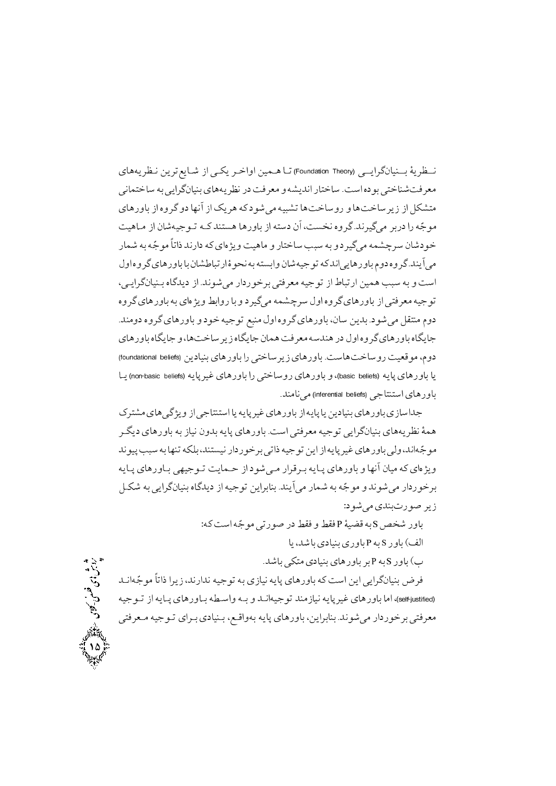نــظرية بــنيانگرايـــي (Foundation Theory) تــا هــمين اواخـر يكــي از شــايع ترين نـظريههاي معرفت شناختی بو ده است. ساختار اندیشه و معرفت در نظر بههای بنیانگرایی به ساختمانی متشکل از زیر ساختهاو روساختها تشبیه می شودکه هر یک از آنها دو گروه از باورهای مو جّه را دربر مي گيرند. گروه نخست، آن دسته از باورها هستند كـه تـو جيهشان از مـاهيت خو دشان سرچشمه مي گير د و به سبب ساختار و ماهيت ويژ هاي كه دارند ذاتاً مو جّه به شمار مي آيند. گر وه دوم باور هايي اندكه تو جيهشان وابسته به نحو ۀ ار تباطشان با باور هاي گر وه اول است و به سبب همین از تباط از توجیه معرفتی برخو ردار می شوند. از دیدگاه بـنیانگرایـی، توجیه معرفتی از باورهای گروه اول سرچشمه می گیر د و با روابط ویژهای به باورهای گروه دوم منتقل مي شو د. بدين سان، باورهاي گر وه اول منبع تو جيه خو د و باورهاي گر وه دومند. جایگاه باور های گر وه اول در هندسه معرفت همان جایگاه زیر ساخت ها، و جایگاه باور های دوم، مو قعیت روساختهاست. باورهای زیر ساختی را باورهای بنیادین (foundational beliefs) یا باورهای پایه (basic beliefs)، و باورهای روساختی را باورهای غیرپایه (non-basic beliefs) یــا باو د های استنتاجی (inferential beliefs) مے نامند.

جداسازی باورهای بنیادین یا پایه از باورهای غیر پایه یا استنتاجی از ویژگی های مشترک همهٔ نظر پههای بنیانگرایی توجیه معرفتی است. باورهای پایه بدون نیاز به باورهای دیگ مو جّهاند، ولي باورهاي غير يايه از اين توجيه ذاتي برخوردار نيستند، بلكه تنها به سبب پيوند ویژ مای که میان آنها و باورهای پیایه بیر قرار می شو داز حیمایت تیو جیهی بیاورهای پیایه برخوردار می شوند و موجّه به شمار می آیند. بنابراین توجیه از دیدگاه بنیانگرایی به شکـل زير صورتبندي مي شو د:

> باور شخص sبه قضية p فقط و فقط در صورتي موجّه است كه: الف) ياو د S په P پاو د ی بنيادي باشد، با

> > ب) باور S به P بر باورهای بنیادی متکی باشد.

فرض بنیانگرایی این است که باورهای پایه نیازی به توجیه ندارند، زیرا ذاتاً موجّهانـد (self-justified)، اما باو رهای غیر پایه نیاز مند تو جیهانــد و بــه و اســطه بــاو رهای پــایه از تــو جیه معرفتي برخوردار مي شوند. بنابراين، باورهاي پايه بهواقـع، بـنيادي بـراي تـوجيه مـعرفتي

ふちき 織い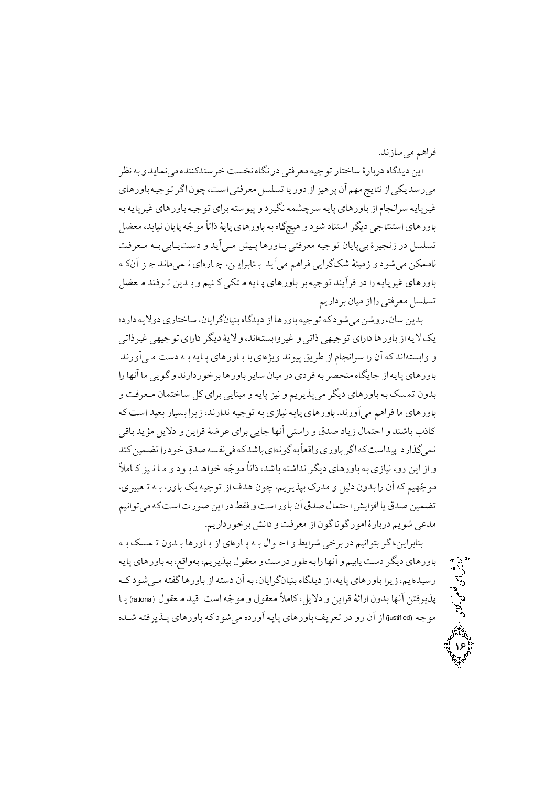فراهم مي سازند.

- - -

شرش بی فصل کلای<br>پارش فونسی کسیوی

o¯ ³M ° k½Bª¯»« ²k®®k®woi Svh¯ ²B¢¯ nj »To« ³¼]±U nBTiBw ¶nBMnj ²B£k½j ½A ºBµn°BM ³¼]±U o£ <sup>A</sup> ±a ,SwA »To« ¥v¦vU B½ n°j pA q¼µoQ ¬C ©´« [½BT¯ pA »½ kwn»« ³M ³½BQo¼ ºBµn°BM ³¼]±U ºAoM ³Tw±¼Q ° jo¼¢¯ ³ªzaow ³½BQ ºBµn°BM pA ¨B\¯Aow ³½BQo¼  $U$ \* ,kJ ·,J ·,J ·,J ·, (k,J /, J ·,J ·,B) ·,B Soǫ ³ÇM »MBǽSwj ° k½C»Ç« y¼ÇQ Bµn°BÇM »To« ³¼]±U ¬B½BQ»M ¶o¼\¯p nj ¥v¦vU ³Ç¬C qÇ] k¯B«»ªÇ¯ ºA²nBÇa ,ǽAoMB®ÇM /k½C»« ©µAo »½Ao£{ ·®¼«p ° j±{»« ª«B¯ ¥Ç« k®oÇU ½kÇM ° ©¼®Ç »TÇ« ³½BÇQ ºBµn°BM oM ³¼]±U k®½Co nj An ³½BQo¼ ºBµn°BM /©½nAjoM ¬B¼« pA An »To« ¥v¦vU

ِفت و دانشر<br>و احــوال <u>ب</u> بدين سان، روشن مي شو د كه تو جيه باور ها از ديدگاه بنيانگر ايان، ساختاري دولايه دار د؛ »UAlo¼ »´¼]±U ºAnAj o¢½j ·½¿ ° ,k¯A³TvMA°o¼ ° »UAl »´¼]±U ºAnAj Bµn°BM pA ³½¿½ /k¯n°C»Ç« Swj ³ÇM ³½BÇQ ºBµn°BÇM BM ºA²s½° k¯±¼Q ½o pA ¨B\¯Aow An ¬C ³ k¯A³TvMA° ° An B´¯C B« »½±£ ° k¯nAjn±ioM Bµn°BM o½Bw ¬B¼« nj ºjo ³M o~d®« ²B¢½B] pA ³½BQ ºBµn°BM ° Soǫ ¬BªTiBw ¥ ºAoM »½B®L« ° ³½BQ q¼¯ ° ©½o½mQ»« o¢½j ºBµn°BM ³M vªU ¬°kM ³ SwA k¼M nB¼vM Ao½p ,k¯nAk¯ ³¼]±U ³M ºpB¼¯ ³½BQ ºBµn°BM /k¯n°C»« ©µAo B« ºBµn°BM »BM k½Æ« ¥½¿j ° ½Ao ·o ºAoM »½B] B´¯C »TwAn ° k jB½p ¤BªTeA ° k®{BM JlB k® ¼ªU An j±i k ³v¯» ³ k{BMºA³¯±£ ³M HA° ºn°BM o£ <sup>A</sup> ³SwAk¼Q /jnAm£»ª¯ «BÇ q¼Ç¯ BÇ« ° j±ÇM kǵA±i ³]±« HUAl ,k{BM ³T{Ak¯ o¢½j ºBµn°BM ³M ºpB¼¯ ,°n ½A pA ° ,ºo¼LÇU ³ÇM ,n°BM ½ ³¼]±U pA kµ ±a ,©½o½mPM nk« ° ¥¼§j ¬°kM An ¬C ³ ©¼´]±« ©¼¯A±U»« ³SwARn± ½A nj °SwA n°BM ¬C k ¤BªTeAy½AqA B½k ¼ªU /©½nAjn±ioMy¯Aj °So« pA ¬±£ B¯±£ n±«A ¶nBMnj ©½±{ »k«

³ÇM vªÇU ¬°kÇM Bµn°BÇM pA ºA²nBÇQ ³ÇM ¤A±ÇeA ° ½Ao{ »ioM nj ©¼¯A±TM o£ A,½AoMB®M ³½BQ ºBµn°BM ³M ,A°³M ,©½o½mPM ¤±« °Swnj n± ³M An B´¯C ° ©¼MB½Swj o¢½j ºBµn°BM  $\overline{a}$  if an analysis of  $\overline{b}$  ,  $\overline{b}$  ,  $\overline{b}$  ,  $\overline{b}$  ,  $\overline{b}$  ,  $\overline{b}$  ,  $\overline{b}$  ,  $\overline{b}$  ,  $\overline{b}$  ,  $\overline{b}$  ,  $\overline{b}$  ,  $\overline{b}$  ,  $\overline{b}$  ,  $\overline{b}$  ,  $\overline{b}$  ,  $\overline{b}$  ,  $\overline{b}$  ,  $\overline{b}$ Bǽ (rational) ¤±Ç« k¼ /SwA ³]±« ° ¤±« «B ,¥½¿j ° ½Ao ·ÄAnA ¬°kM B´¯C To½mQ موجه (justified) از آن رو در تعريف باورهاي پايه آورده مي شو دكه باورهاي پــذير فته شــده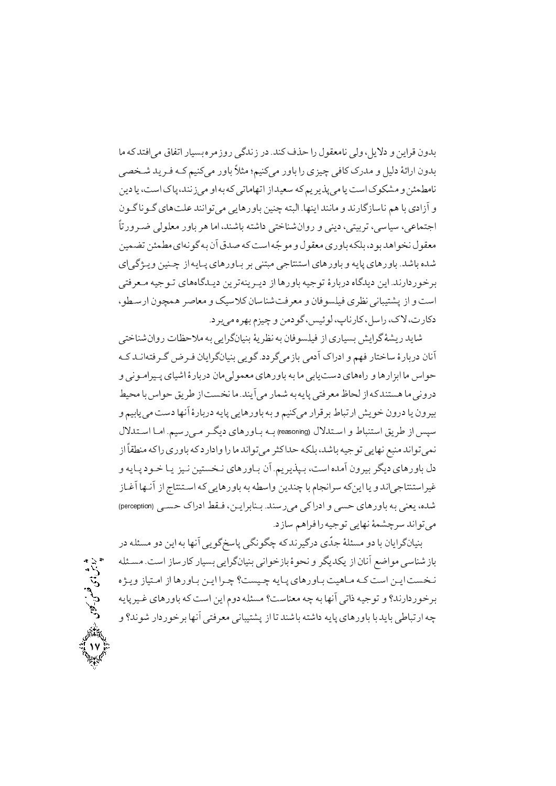بدون قراين و دلايل، ولي نامعقول را حذف كند. در زندگي روزمر ه بسيار اتفاق مي افتد كه ما بدون ارائهٔ دلیل و مدرک کافی چیزی را باور میکنیم؛ مثلاً باور میکنیم کـه فـر ید شـخصی نامطمئن و مشکو ک است یا مے پذیر یہ که سعید از اتھاماتے که به او مے زنند، پاک است، یا دین و آزادي با هم ناسازگارند و مانند اينها. البته چنين باورهايي مي توانند علتهاي گـوناگـون اجتماعي، سياسي، تربيتي، ديني و روانشناختي داشته باشند، اما هر باور معلولي ضـرورتاً معقو ل نخواهد بو د، بلکه باوری معقول و موجّه است که صدق آن به گونهای مطمئن تضمین شده باشد. باورهای پایه و باورهای استنتاجی مبتنی بر بـاورهای پـایه از چـنین ویــژگی|ی برخو ر دارند. اين ديدگاه دربار ۀ توجيه باورها از ديبرينه ترين ديـدگاههاي تـوجيه مـعرفتي است و از پشتیبانی نظری فیلسوفان و معرفتشناسان کلاسیک و معاصر همچون ارسطو، دکارت، لاک، راسل، کارناپ، لوئیس، گودمن و چیزم بهره میبرد.

شايد ريشهٔ گرايش بسياري از فيلسوفان به نظريهٔ بنيانگرايي به ملاحظات روانشناختي آنان دربارهٔ ساختار فهم و ادراک آدمی بازمیگر دد. گویی بنیانگرایان فـرض گـر فتهانـد کـه ۔<br>حو اس ما ابزار ها و رامهای دست پاپی ما به باور های معمولی مان در بار هٔ اشیای پـیرامـو نی و دروني ما هستندكه از لحاظ معرفتي پايه به شمار مي آيند. ما نخست از طريق حو اس با محيط بيرون يا درون خويش ارتباط برقرار مى كنيم و به باورهايي يايه دربارهٔ أنها دست مى يابيم و سپس از طریق استنباط و استدلال (reasoning) بـه بـاورهای دیگـر مـیرسیم. امـا اسـتدلال نمي تواند منبع نهايي توجيه باشد، بلكه حداكثر مي تواند ما را وادارد كه باوري راكه منطقاً از دل باور هاي ديگر بيرون آمده است، بـيذيريـم. آن بـاور هاي نـخستين نـيز يـا خـو د پـايه و غیراستنتاجیاند و یا اینکه سرانجام با چندین واسطه به باورهایی که اسـتنتاج از آنـها آغـاز شده، يعني به باورهاي حسى و ادراكي مي رسند. بـنابرايــن، فـقط ادراك حســي (perception) مي تواند سرچشمهٔ نهايي توجيه رافراهم سازد.

رترش دی فلس کاری<br>پارس فلس کار

بنیانگرایان با دو مسئلهٔ جدّی درگیرند که چگونگی پاسخگویی آنها به این دو مسئله در بازشناسی مواضع آنان از یکدیگر و نحوهٔ بازخوانی بنیانگرایی بسیار کارساز است. مسئله نخست ايـن است كـه مـاهيت بـاورهاي پـايه چـيست؟ چـرا ايـن بـاورها از امـتياز ويـژه برخو ر دارند؟ و تو جيه ذاتي آنها به چه معناست؟ مسئله دوم اين است كه باور هاي غير پايه چه ارتباطی باید با باورهای پایه داشته باشند تا از پشتیبانی معرفتی آنها برخو ردار شوند؟ و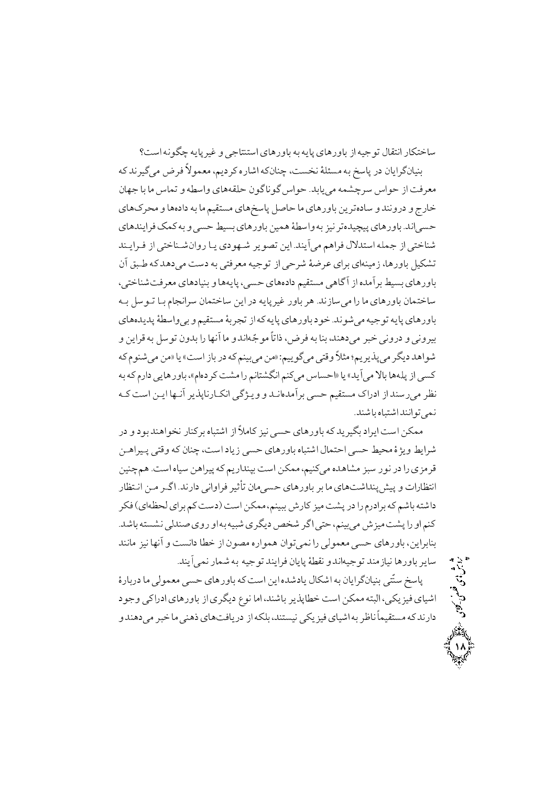ساختکار انتقال تو جیه از باور های پایه به باور های استنتاجی و غیر پایه چگو نه است؟

بنيانگرايان در ياسخ به مسئلهٔ نخست، چنانکه اشاره کر ديم، معمو لاً فرض مي گيرند که معرفت از حواس سرچشمه مے بابد. حواس گو ناگو ن حلقههای واسطه و تماس ما با جهان .<br>خارج و درونند و سادهتر ين باورهاي ما حاصل ياسخ هاي مستقيم ما به دادهها و محركهاي حسبي اند. باورهاي پيچيدهتر نيز به واسطهٔ همين باورهاي بسيط حسبي و به كمک فرايندهاي شناختي از جمله استدلال فراهم مي آيند. اين تصوير شـهودي يـا روانشـناختي از فـرايـند تشکیل باورها، زمینهای برای عرضهٔ شرحی از توجیه معرفتی به دست می دهد که طبق آن باور های بسیط بر آمده از آگاهی مستقیم دادههای حسبی، پایهها و بنیادهای معرفت شناختی، ساختمان باورهاي ما را ميسازند. هر باور غيرپايه در اين ساختمان سرانجام بـا تـوسل بـه باورهاي پايه تو جيه مي شو ند. خو د باورهاي پايه كه از تجربهٔ مستقيم و بي واسطهٔ پديدههاي بیرونی و درونی خبر میدهند، بنا به فرض، ذاتاً موجّهاند و ما آنها را بدون توسل به قراین و شواهد ديگر مي پذيريم؛ مثلاً وقتي ميگوييم: «من مي بينم كه در باز است» يا «من مي شنوم كه کسی از یلهها بالا می آید» یا «احساس میکنم انگشتانم را مشت کر دهام»، باورهایی دارمکه به نظر می رسند از ادراک مستقیم حسبی بر آمدهانـد و ویـژگی انکـارنایذیر آنـها ایـن است کـه نمي تو انند اشتياه باشند.

ممکن است ايراد بگيريد که باورهاي حسي نيز کاملاً از اشتباه برکنار نخواهند بو د و در شرايط ويژهٔ محيط حسى احتمال اشتباه باورهاي حسى زياد است، چنان كه وقتى پـيراهـن قرمزی را در نور سبز مشاهده میکنیم، ممکن است بینداریم که پیراهن سیاه است. همچنین انتظارات و پیش پنداشتهای ما بر باورهای حسیمان تأثیر فراوانی دارند. اگـر مـن انـتظار داشته باشم که برادرم را در پشت میز کارش ببینم، ممکن است (دست کم برای لحظهای) فکر کنم او را پشت میز ش می بینم، حتی اگر شخص دیگری شبیه به او روی صندلی نشسته باشد. بنابراین، باورهای حسی معمولی را نمی توان همواره مصون از خطا دانست و آنها نیز مانند ساير باورها نيازمند توجيهاندو نقطهٔ پايان فرايند توجيه به شمار نمي آيند.

پاسخ سنّتی بنیانگرایان به اشکال یادشده این است که باورهای حسی معمولی ما دربارهٔ اشیای فیز یکی، البته ممکن است خطاپذیر باشند، اما نوع دیگری از باورهای ادراکی وجود دارند که مستقیماً ناظر به اشیای فیز یکی نیستند،بلکه از دریافتهای ذهنی ما خبر می دهند و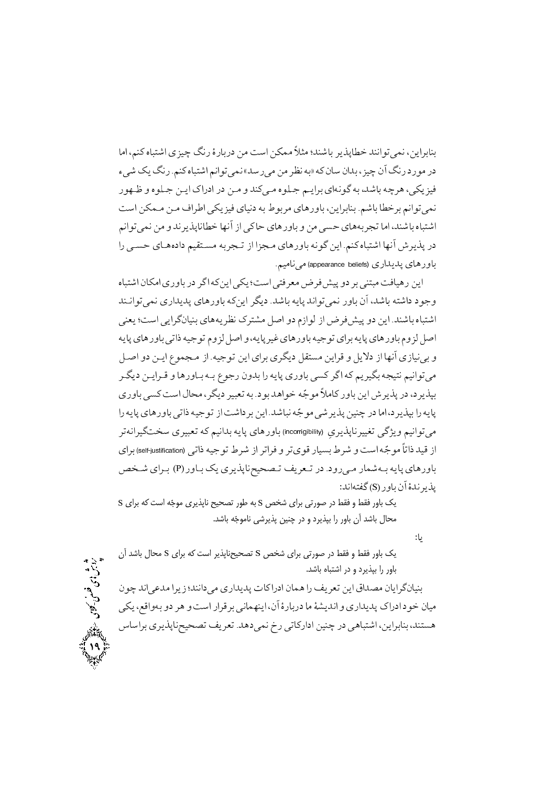بنابراین، نمی توانند خطایذیر باشند؛ مثلاً ممکن است من دربارهٔ رنگ چیزی اشتباه کنم، اما در مو رد رنگ آن چيز ، بدان سان كه «به نظر من مي رسد» نمي توانم اشتباه كنم. رنگ يك شييء فيزيکي، هرچه پاشد، په گو نهاي پراييم جيلو ه ميږکند و مين در ادراک ايين جيلوه و ظيهو ر نمي توانم برخطا باشم. بنابراين، باورهاي مربوط به دنياي فيزيكي اطراف مـن مـمكن است اشتباه باشند، اما تجربههای حسی من و باورهای حاکی از آنها خطانایذیر ند و من نمی توانم در يذير ش آنها اشتباه كنم. اين گونه باورهاي مـجزا از تـجربه مسـتقيم دادههـاي حسـي را باورهای پدیداری (appearance beliefs) می نامیم.

این ر هیافت مبتنی بر دو پیش فر ض معرفتی است؛ یکی این که اگر در باوری امکان اشتباه وجو د داشته باشد، آن باور نمی تواند پایه باشد. دیگر این که باورهای پدیداری نمی توانـند اشتباه باشند. این دو پیش فرض از لوازم دو اصل مشترک نظریههای بنیانگرایی است؛ یعنی اصل لز وم باور هاي پايه براي توجيه باور هاي غيږ پايه، و اصل لزوم توجيه ذاتي باور هاي پايه و برنیازی آنها از دلایل و قراین مستقل دیگری برای این توجیه. از مـجموع ایـن دو اصـل مي توانيم نتيجه بگير يم كه اگر كسي باوري يايه را بدون رجوع بـه بـاورها و قـرايـن ديگـر بپذیر د، در پذیر ش این باور کاملاً موجّه خواهد بود. به تعبیر دیگر، محال است کسی باور ی يايه را بيذير د، اما در چنين پذير شي موجّه نباشد. اين بر داشت از توجيه ذاتي باور هاي پايه را میتوانیم ویژگی تغییرناپذیری (incorrigibility) باورهای پایه بدانیم که تعبیری سختگیرانهتر از قید ذاتاً موجّه است و شرط بسیار قویتر و فراتر از شرط توجیه ذاتی (self-justification)برای باورهاي پايه بـهشمار مـي(ود. در تـعريف تـصحيحناپذيري يک بـاور (P) بـراي شـخص يذبر ندهٔ آن باو <sub>(</sub> (S) گفتهاند:

یک باور فقط و فقط در صورتی برای شخص S به طور تصحیح ناپذیری موجّه است که برای S محال باشد آن باور را بپذیرد و در چنین پذیرشی ناموجّه باشد.

 $: \mathsf{L}$ 

یک باور فقط و فقط در صورتی برای شخص S تصحیحناپذیر است که برای S محال باشد آن باور را بیذیرد و در اشتباه باشد.

بنیانگرایان مصداق این تعریف را همان ادراکات پدیداری می دانند؛ زیرا مدعی اند چو ن میان خو د ادراک پدیداری و اندیشهٔ ما دربارهٔ آن، اینهمانی برقرار است و هر دو بهواقع، یکی هستند، بنابراین، اشتباهی در چنین ادارکاتی رخ نمیدهد. تعریف تصحیحناپذیری براساس

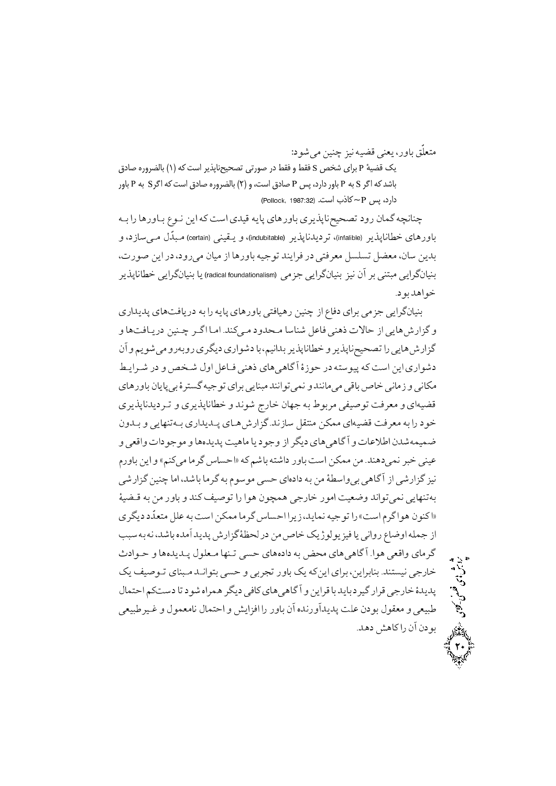متعلّق باور، يعني قضيه نيز چنين مي شو د:

یک قضیهٔ P برای شخص S فقط و فقط در صورتی تصحیحناپذیر است که (۱) بالضروره صادق باشد که اگر S به P باور دارد، پس P صادق است، و (۲) بالضروره صادق است که اگرS به P باور دارد، سی P~ کاذب است. (Pollock, 1987:32)

چنانچه گمان رود تصحیحناپذیر ی باورهای پایه قیدی است که این نـوع بـاورها را بـه باورهای خطاناپذیر (infalible)، تردیدناپذیر (indubitable)، و یــقینی (certain) مـبدّل مــیسازد، و بدين سان، معضل تسلسل معرفتي در فرايند توجيه باورها از ميان مي رود، در اين صورت، بنیانگرایی مبتنی بر آن نیز بنیانگرایی جزمی (radical foundationalism) یا بنیانگرایی خطاناپذیر خو اهد يو د.

بنیانگرایی جزمی برای دفاع از چنین رهیافتی باورهای پایه را به دریافتهای پدیداری و گزارشهایی از حالات ذهنی فاعل شناسا مـحدود مـیکند. امـا اگـر چـنین دریـافتها و گزار ش هايي را تصحيحناپذير و خطاناپذير بدانيم،با دشواري ديگري روبهرو مي شويم و آن دشواري اين است كه پيو سته در حوزهٔ آگاهي هاي ذهني فـاعل اول شـخص و در شـرايـط مکاني و زماني خاص باقي مي مانند و نمي توانند مبنايي براي توجيه گستر ۀ بي پايان باورهاي قضیهای و معرفت تو صیفی مربوط به جهان خارج شوند و خطاناپذیری و تـردیدناپذیری خود را به معرفت قضیهای ممکن منتقل سازند. گزارش هـای پـدیداری بـهتنهایی و بـدون ضميمهشدن اطلاعات و أگاهي هاي ديگر از وجو د يا ماهيت پديدهها و مو جو دات واقعي و عینی خبر نمی دهند. من ممکن است باور داشته باشم که «احساس گرما میکنم» و این باورم نیز گزارشی از آگاهی بی واسطهٔ من به دادهای حسی موسوم به گرما باشد، اما چنین گزارشی به تنهايي نمي تواند وضعيت امو ر خارجي همچون هوا را توصيف كند و باور من به قـضيهٔ «اکنو ن هو اگرم است» را تو جیه نماید، زیرا احساس گر ما ممکن است به علل متعدِّد دیگر ی از جمله اوضاع رواني يا فيزيولوژيک خاص من در لحظهٔ گزارش پديد آمده باشد،نه به سبب گرماي واقعي هوا. آگاهي هاي محض به دادههاي حسي تـنها مـعلول يـديدهها و حـوادث خارجي نيستند. بنابراين، براي اينكه يک باور تجربي و حسي بتوانـد مـبناي تـوصيف يک پدیدهٔ خارجی قرار گیردباید باقراین و آگاهی های کافی دیگر همراه شود تا دستکم احتمال طبيعي و معقول بو دن علت پديدآورنده آن باور را افزايش و احتمال نامعمول و غـيرطبيعي بو دن آن راكاهش دهد.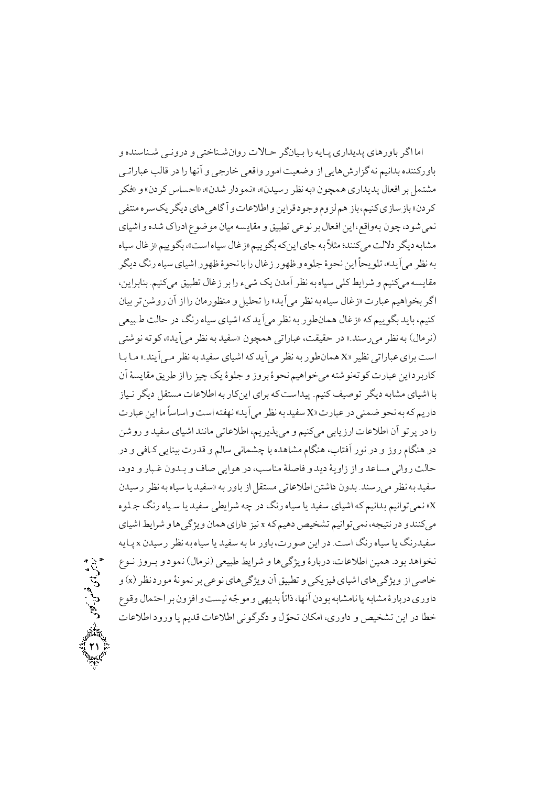اما اگر باورهای پدیداری پـایه را بـیانگر حـالات روانشـناختی و درونـی شـناسنده و باورکننده بدانیم نه گزارش هایی از وضعیت امور واقعی خارجی و آنها را در قالب عباراتـی مشتمل پر افعال پديداري همچون «په نظر رسيدن»، «نمو دار شدن»، «احساس کردن» و «فکر کر دن» بازسازی کنیم،باز هم لزوم و جود قراین و اطلاعات و آگاه<sub>ی</sub> های دیگر یک سر ه منتف<sub>ی</sub> نمي شود، چون بهواقع، اين افعال بر نوعي تطبيق و مقايسه ميان موضوع ادراك شده و اشياي مشابه دیگر دلالت میکنند؛ مثلاً به جای اینکه بگوییم «زغال سیاه است»، بگوییم «زغال سیاه به نظر مي آيد»، تلو يحأ اين نحو ۂ جلو ه و ظهو ر زغال رابا نحو ۂ ظهو ر اشياي سياه رنگ ديگر مقايسه مي کنيم و شرايط کلي سياه به نظر آمدن يک شيء را بر زغال تطبيق مي کنيم. بنابراين، اگر بخواهيم عبارت «زغال سياه به نظر مي آيد» را تحليل و منظو رمان را از آن روشن تر بيان کنیم، باید بگو پیم که «زغال همانطور به نظر می آید که اشیای سیاه رنگ در حالت طبیعی (نرمال) به نظر می رسند.» در حقیقت، عباراتی همچون «سفید به نظر می آید»، کوته نوشتی است برای عباراتی نظیر «X همانطو ر به نظر می آید که اشیای سفید به نظر می آیند.» مـا بـا .<br>کاربر داین عبارت کو تەنوشتە می خواهیم نحو ۂ بروز و جلو ۂ یک چیز رااز طریق مقایسۂ آن با اشیای مشابه دیگر تو صیف کنیم. پیداست که برای اینکار به اطلاعات مستقل دیگر نـیاز داريم كه به نحو ضمني در عبارت «X سفيد به نظر مي آيد» نهفته است و اساساً ما اين عبارت را در پرتو آن اطلاعات ارزیابی میکنیم و میپذیریم، اطلاعاتی مانند اشیای سفید و روشن در هنگام روز و در نور آفتاب، هنگام مشاهده با چشمانی سالم و قدرت بینایی کـافی و در حالت رواني مساعد و از زاويهٔ ديد و فاصلهٔ مناسب، در هو ايي صاف و بـدون غـبار و دود، سفيد به نظر مي رسند. بدون داشتن اطلاعاتي مستقل از باور به «سفيد يا سياه به نظر رسيدن x» نمی توانیم بدانیم که اشیای سفید یا سیاه رنگ در چه شرایطی سفید یا سـیاه رنگ جـلو ه می کنند و در نتیجه، نمی توانیم تشخیص دهیم که x نیز دارای همان و یژگی ها و شرایط اشیای سفیدرنگ یا سیاه رنگ است. در این صورت، باور ما به سفید یا سیاه به نظر رسیدن x یـایه نخواهد بود. همين اطلاعات، دربارهٔ ويژگيها و شرايط طبيعي (نرمال) نمود و بـروز نـوع خاصی از ویژگیهای اشیای فیزیکی و تطبیق آن ویژگیهای نوعی بر نمونهٔ مورد نظر (x) و داوري دربارهٔ مشابه پا نامشابه بو دن آنها، ذاتاً بديهي و مو جّه نيست و افزون بر احتمال وقوع خطا در اين تشخيص و داوري، امكان تحوّ ل و دگر گو ني اطلاعات قديم يا ورود اطلاعات

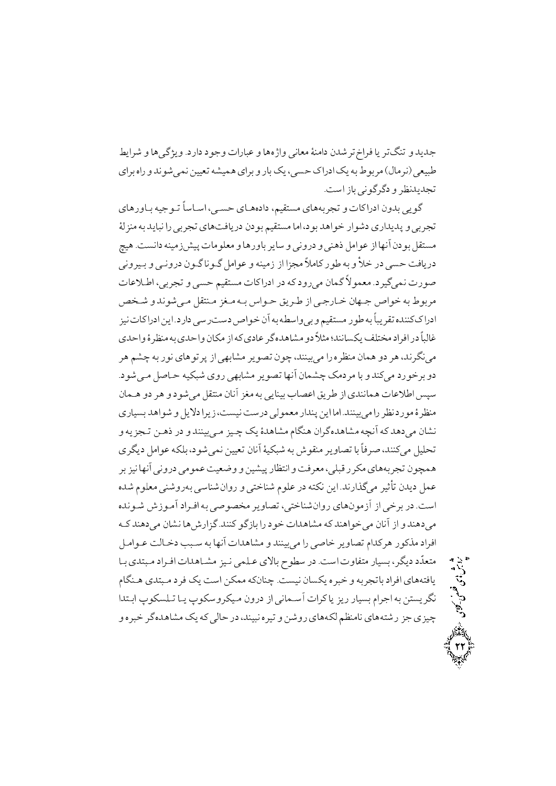جديد و تنگتر يا فراخ ترشدن دامنهٔ معاني واژهها و عبارات وجود دارد. ويژگي ها و شرايط طبیعی (نر مال) مربو ط به یک ادراک حسبی، یک بار و برای همیشه تعیین نمی شو ند و راه برای تجدیدنظر و دگرگو نے باز است.

گويي بدون ادراكات و تجربههاي مستقيم، دادههــاي حســي، اســاساً تــو جيه بــاورهاي تجربي و پديداري دشوار خواهد بود، اما مستقيم بودن دريافتهاي تجربي را نبايد به منزلهٔ مستقل بودن آنها از عوامل ذهني و دروني و ساير باورها و معلومات پيش زمينه دانست. هيچ دریافت حسبی در خلأ و به طور کاملاً مجزا از زمینه و عوامل گـو ناگـو ن درونـی و بـیرونی صورت نمبي گيرد. معمو لاً گمان مي رود كه در ادراكات مستقيم حسبي و تجربي، اطـلاعات مربوط به خواص جبهان خبارجبي از طبريق حبواس بيه مغز منتقل مبي شوند و شيخص ادرا ککننده تقریباً به طو ر مستقیم و بپ واسطه به آن خو اص دست رسبی دارد. این ادراکات نیز غالباً در افراد مختلف يكسانند؛ مثلاً دو مشاهده گر عادي كه از مكان واحدي به منظر ۀ واحدي می نگر ند، هر دو همان منظر ه را می بینند، چون تصویر مشابهی از پر تو های نو ر به چشم هر دو برخورد میکند و با مردمک چشمان آنها تصویر مشابهی روی شبکیه حـاصل مـی شود. سيس اطلاعات همانندي از طريق اعصاب بينايي به مغز أنان منتقل مي شو د و هر دو هـمان منظر هٔ مورد نظر را می بینند. اما این پندار معمولی درست نیست، زیرا دلایل و شواهد بسیاری نشان مي دهدكه أنچه مشاهده گران هنگام مشاهدهٔ يک چـيز مـي.بينند و در ذهـن تـجزيه و تحليل مي كنند، صرفاً با تصاوير منقوش به شبكيهٔ أنان تعيين نمي شود، بلكه عوامل ديگر ي همچون تجربههاي مكرر قبلي، معرفت و انتظار پيشين و وضعيت عمومي دروني أنها نيز بر عمل ديدن تأثير ميگذارند. اين نكته در علوم شناختي و روانشناسي بهروشني معلوم شده است. در برخی از آزمو نهای روان شناختی، تصاویر مخصوصی به افیراد آمیوزش شیونده می دهند و از آنان می خواهند که مشاهدات خو د را بازگو کنند. گزارش ها نشان می دهند ک افراد مذكور هركدام تصاوير خاصي را مى بينند و مشاهدات آنها به سبب دخـالت عـوامـل متعدّد دیگر، بسیار متفاوت است. در سطوح بالای عـلمی نـیز مشـاهدات افـراد مـبتدی بـا يافتههاي افراد باتجربه و خبره يكسان نيست. چنانكه ممكن است يك فرد مـبتدي هـنگام نگريستن به اجرام بسيار ريز ياكرات أسـماني از درون ميكروسكوپ يـا تـلسكوپ ابـتدا چیزی جز رشتههای نامنظم لکههای روشن و تیره نبیند، در حالی که یک مشاهده گر خبره و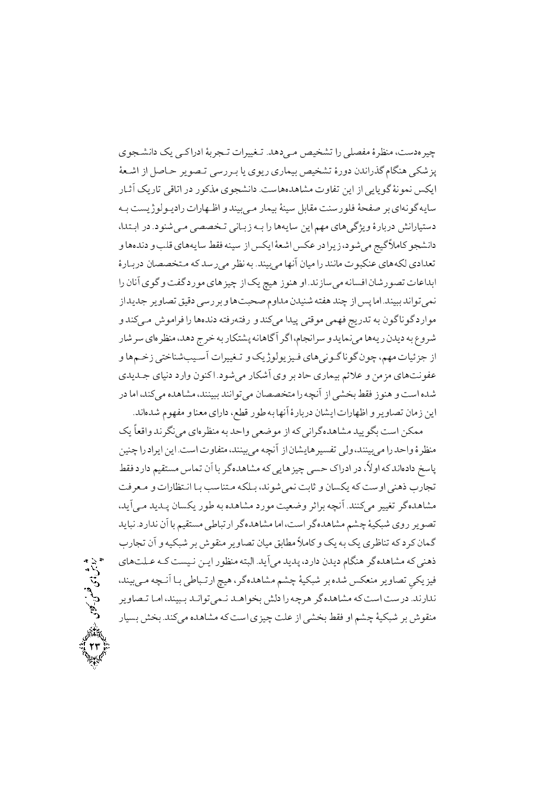چیرهدست، منظرهٔ مفصلی را تشخیص می دهد. تـغییرات تـجربهٔ ادراکـی یک دانشـجوی پزشکی هنگام گذراندن دورهٔ تشخیص بیماری ریوی یا بـررسی تـصویر حـاصل از اشـعهٔ ایکس نمونهٔ گو پاپ از این تفاوت مشاهدههاست. دانشجوی مذکور در اتاقی تاریک آثـار سايه گونهاي بر صفحهٔ فلورسنت مقابل سينهٔ بيمار مـي بيند و اظـهارات راديـولوژيست بـه دستيارانش دربارهٔ ويژگي هاي مهم اين سايهها را بـه زبـاني تـخصصي مـي شنود. در ابـتدا، دانشجو كاملاً گيج مي شود، زيرا در عكس اشعهٔ ايكس از سينه فقط سايههاي قلب و دندهها و تعدادي لكههاي عنكبوت مانند را ميان آنها مي بيند. به نظر مي رسد كه مـتخصصان دربـارة ابداعات تصورشان افسانه می سازند. او هنوز هیچ یک از چیزهای موردگفت و گوی آنان را نمي تواند ببيند. اما پس از چند هفته شنيدن مداوم صحبتها و بر رسي دقيق تصاوير جديد از موارد گوناگون به تدريج فهمي موقتي پيدا ميكند و رفتهرفته دندهها را فراموش مـيكند و شروع به دیدن ریهها می نماید و سرانجام، اگر آگاهانه پشتکار به خرج دهد، منظرهای سرشار از جزئیات مهم، چون گوناگـونيهاي فـيزيولوژيک و تـغييرات أسـيبشناختي زخـمها و عفونتهاي مزمن و علائم بيماري حاد بر وي أشكار مي شود. اكنون وارد دنياي جــديدي شده است و هنو ز فقط بخشی از آنچه را متخصصان می تو انند ببینند، مشاهده می کند، اما در اين زمان تصاوير و اظهارات ايشان دربارة أنها به طور قطع، داراي معنا و مفهوم شدهاند.

ممکن است بگویید مشاهده گرانی که از موضعی واحد به منظرهای می نگرند واقعاً یک منظرة واحد را مىبينند، ولى تفسيرهايشان از آنچه مىبينند، متفاوت است.اين ايراد را چنين یاسخ دادهاند که اولاً، در ادراک حسبی چیز هایی که مشاهده گر با آن تماس مستقیم دارد فقط تجارب ذهني اوست كه يكسان و ثابت نمي شوند، بـلكه مـتناسب بـا انـتظارات و مـعرفت مشاهده گر تغییر می کنند. آنچه براثر وضعیت مورد مشاهده به طور یکسان پیدید می آید، تصویر روی شبکیهٔ چشم مشاهده گر است، اما مشاهده گر ارتباطی مستقیم با آن ندارد. نباید گمان کر دکه تناظری یک به یک و کاملاً مطابق میان تصاویر منقوش بر شبکیه و آن تجارب ذهني كه مشاهده گر هنگام ديدن دارد، پديد مي آيد. البته منظور ايـن نـيست كـه عـلتهاي فیزیکی تصاویر منعکس شده بر شبکیهٔ چشم مشاهده گر، هیچ ارتـباطی بـا اَنــچه مـیبیند، ندارند. درست است که مشاهده گر هرچه را دلش بخواهـد نـميتوانـد بـبيند، امـا تـصاوير منقو ش بر شبکیهٔ چشم او فقط بخشی از علت چیزی است که مشاهده می کند. بخش بسیار

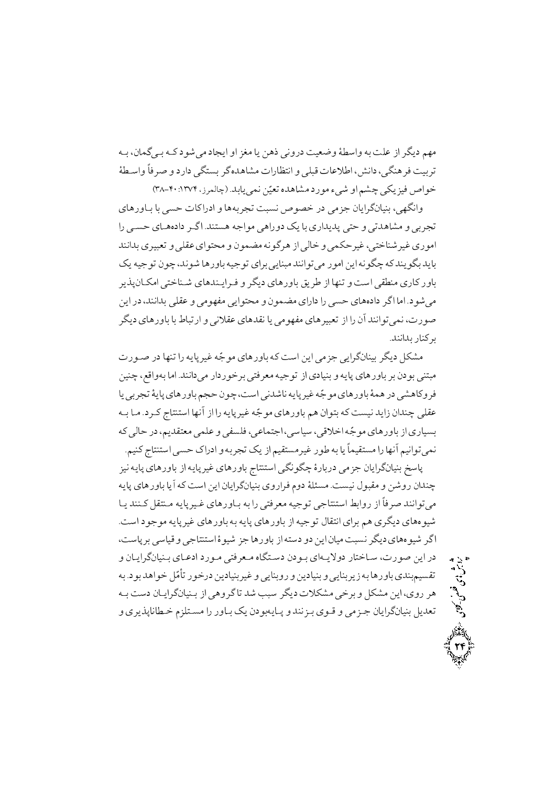مهم ديگر از علت به واسطهٔ وضعيت دروني ذهن يا مغز او ايجاد مي شو د كـه بـي گمان، بـه تربيت فرهنگي، دانش، اطلاعات قبلي و انتظارات مشاهده گر بستگي دارد و صرفاً واسطهٔ خو اص فيزيكي چشم او شيء مورد مشاهده تعيّن نمي بايد. (چالمرز، ۲۰:۱۳۷۴)

وانگهی، بنیانگرایان جزمی در خصوص نسبت تجربهها و ادراکات حسی با بـاورهای تجربي و مشاهدتي و حتي پديداري با يک دوراهي مو اجه هستند. اگـر دادههـاي حســي را امو ري غير شناختي، غير حكمي و خالبي از هر گو نه مضمو ن و محتو اي عقلي و تعبير ي بدانند بايد بگو پند كه چگو نه اين امو ر مي تو انند مبنايي براي تو جيه باور ها شو ند، چو ن تو جيه يک باور کاری منطقی است و تنها از طریق باورهای دیگر و فیراییندهای شیناختی امکیان پذیر مي شو د. اما اگر دادههاي حسي را داراي مضمو ن و محتو ايي مفهو مي و عقلي بدانند، در اين صو ر ت، نمي تو انند آن را از تعبير هاي مفهو مي با نقدهاي عقلاني و ار تباط با باو ر هاي ديگر بركنار بدانند.

مشکل دیگر بینانگرایی جزمی این است که باورهای موجّه غیرپایه را تنها در صـورت مبتني بودن بر باورهاي پايه و بنيادي از توجيه معرفتي برخوردار مي دانند. اما بهواقع، چنين فروکاهشي در همهٔ باورهاي مو جّه غير پايه ناشدني است، چو ن حجم باورهاي پايهٔ تجربي پا عقلي چندان زايد نيست كه بتوان هم باورهاي موجّه غيريايه را از أنها استنتاج كـرد. مـا بـه بسياري از باور هاي مو جّه اخلاقي، سياسي، اجتماعي، فلسفي و علمي معتقديم، در حالي كه نمي توانيم أنها را مستقيماً يا به طور غير مستقيم از يک تجربه و ادراک حسى استنتاج کنيم.

پاسخ بنیانگرایان جزمی دربارهٔ چگونگی استنتاج باورهای غیرپایه از باورهای پایه نیز چندان روشن و مقبول نیست. مسئلهٔ دوم فراروی بنیانگرایان این است که آیا باورهای پایه مي توانند صرفاً از روابط استنتاجي توجيه معرفتي را به بـاورهاي غـيريايه مـنتقل كـنند يـا شيو ههاي ديگر ي هم براي انتقال تو جيه از باورهاي پايه به باورهاي غير پايه مو جو د است. اگر شیوههای دیگر نسبت میان این دو دسته از باورها جز شیوهٔ استنتاجی و قیاسی بر پاست، در این صورت، سـاختار دولایـهای بـودن دسـتگاه مـعرفتی مـورد ادعـای بـنیانگرایـان و تقسیم.ندی باورها به زیربنایی و بنیادین و روبنایی و غیربنیادین درخور تأمّل خواهد بود. به هر روی، این مشکل و برخی مشکلات دیگر سبب شد تاگر وهی از بـنیانگرایـان دست بـه تعديل بنيانگرايان جـزمي و قـوي بـزنند و پـايهبودن يک بـاور را مسـتلزم خـطاناپذيري و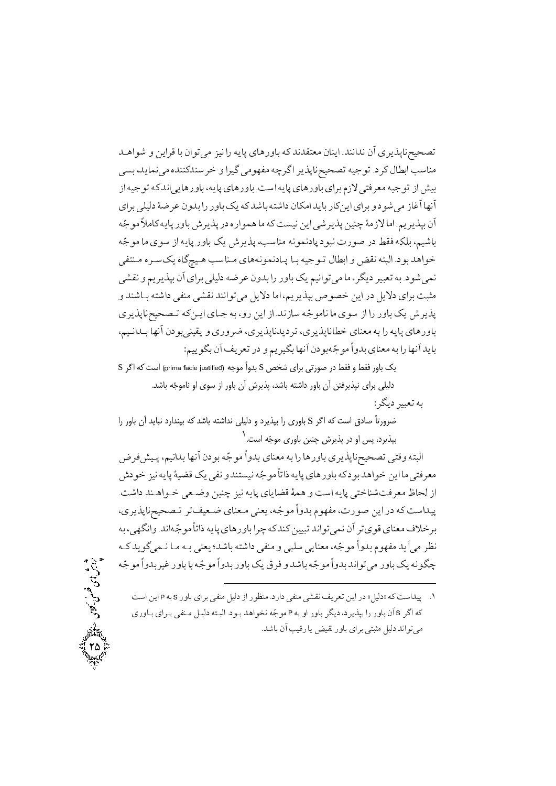kǵA±{ ° ½Ao BM ¬A±U»« q¼¯ An ³½BQ ºBµn°BM ³ k¯kT« ¬B®½A /k®¯Ak¯ ¬C ºo½mQB¯c¼d~U »vM ,k½Bª¯»« ²k®®k®woi ° Ao¼£ »«±´« ³ao£ <sup>A</sup> o½mQB¯c¼d~U ³¼]±U /jo ¤BMA KwB®« pA ³¼]±U ³ k¯A»½Bµn°BM ,³½BQ ºBµn°BM /SwA ³½BQ ºBµn°BM ºAoM ¨p¿ »To« ³¼]±U pAy¼M ºAoM »¦¼§j ·o ¬°kM An n°BM½ ³ k{BM ³T{Aj ¬B«A k½BM nB½A ºAoM ° j±{»« pBC B´¯C لا الأو الإنترنتين الإنترنتين من المؤسس المؤسس المؤسس المغرض المغرض المغرض المؤسس المؤسس المؤسس المؤسس المؤسس ا  $\cdots$  and  $\cdots$  parameters in the set of  $\cdots$  is the set of  $\cdots$  if  $\cdots$ »T®Ç« ²oÇw½ ²B£\_¼Çµ KwB®Ç« ºBµ³¯±ª¯jBÇQ BÇM ³¼]±ÇU ¤BMA °¯ ³TL§A /j±M kµA±i »z¯ ° ©½o½mPM ¬C ºAoM »¦¼§j ³o ¬°kM An n°BM½ ©¼¯A±U»« B« ,o¢½j o¼LU ³M /j±{»ª¯ مثبت براي دلايل در اين خصوص بيذير يم، اما دلايل مي توانند نقشي منفي داشته بـاشند و توں سے ایک ایک ایک ایک ایک محل ایک ایک ایک ایک ایج ایک ایک ایج ایک ایجاد ایجاد ایجاد ایجاد ایجاد ایجاد ایجاد ,©¼Ç¯AkÇM B´¯C ¬j±M»®¼½ ° ºn°o ,ºo½mQB¯k½joU ,ºo½mQB¯Bi ºB®« ³M An ³½BQ ºBµn°BM :©¼½±¢M ¬C ½oU nj ° ©½o¼¢M B´¯C ¬j±M³]±« <sup>Ø</sup> G°kM ºB®« ³M An B´¯C k½BM

 ${\rm S}$  بک باور فقط و فقط در صورتی برای شخص S بدواً موجه (prima facie justified) است که اگر دلیلی برای نپذیرفتن آن باور داشته باشد، پذیرش آن باور از سوی او ناموجّه باشد. ÿ به تعبير ديگر :

ضرورتاً صادق است که اگر S باوری را بپذیرد و دلیلی نداشته باشد که بپندارد نباید آن باور را یپذیرد، پس او در پذیرش چنین باوری موجّه است. ٰ ÿ

 oy¼ÇQ ,©¼¯AkM B´¯C ¬j±M ³]±« G°kM ºB®« ³M An Bµn°BM ºo½mQB¯c¼d~U »T° ³TL§A xj±i q¼¯ ³½BQ ·¼½ »¯ ° k®Tv¼¯ ³]±« HUAl ³½BQ ºBµn°BM ³ j±M kµA±i ½A B« »To« /S{Aj k®ÇµA±Çi »Ç° ¼®a q¼¯ ³½BQ ºB½B ỵ ° SwA ³½BQ »TiB®{So« Bd§ pA ,Ao (ج. 1997 - ج. 1997 - بي موريا بي التي تاريخ التي المستوى المستوى المستوى المستوى المستوى المستوى المستوى ا ³M ,»´¢¯A° /k¯A³]±« HUAl ³½BQ ºBµn°BM Aoa ³ k® ¼¼LU k¯A±U»ª¯ ¬C oUº± ºB®« ÀioM ³Ç k½±£»ªÇ¯ BÇ« ³ÇM »®½ ;k{BM ³T{Aj »®« ° »L¦w »½B®« ,³]±« G°kM ¨±´« k½C»« o¯ ³]±« G°kMo¼ n°BM BM ³]±« G°kM n°BM½ o ° k{BM ³]±« G°kM k¯A±U»« n°BM½ ³¯±¢a

SwA ½A <sup>P</sup> ³M <sup>S</sup> n°BM ºAoM »®« ¥¼§j pA n±®« /jnAj »®« »z¯ ½oU ½A nj <¥¼§j> ³ SwAk¼Q /1 و ال الي الله عنه المساور ولي المساور المساور التي المساور المساور المساور المساور المساور المساور المساور الم می تواند دلیل مثبتی برای باور نقیض یا رقیب آن باشد.

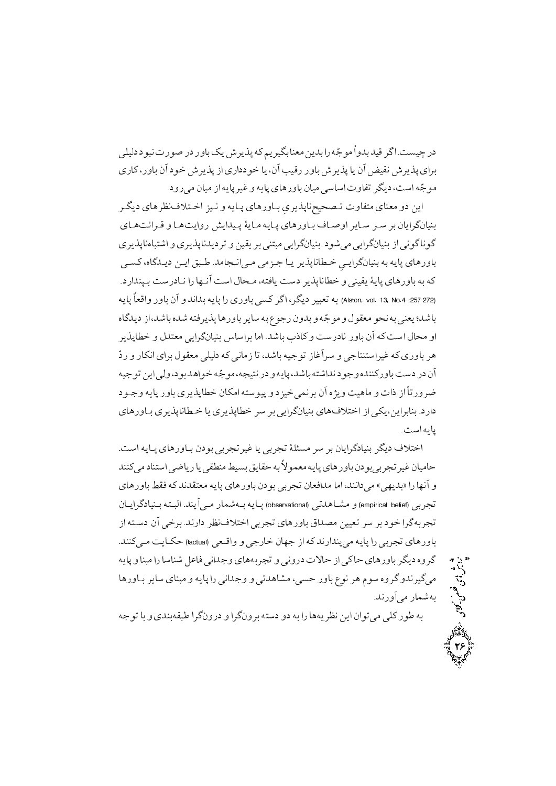»¦¼§j j±L¯Rn± nj n°BM½xo½mQ ³ ©½o¼¢M B®« ½kM An ³]±« G°kM k¼ o£ <sup>A</sup> /Sv¼a nj برای پذیر ش نقیض آن پا پذیر ش باور رقیب آن، پا خو دداری از پذیر ش خو د آن باور، کار ی /j°n»« ¬B¼« pA ³½BQo¼ ° ³½BQ ºBµn°BM ¬B¼« »wBwA R°BU o¢½j ,SwA ³]±«

oÇ¢½j ºBµo¯ÀTÇiA q¼Ç¯ ° ³½BÇQ ºBµn°BÇM ºo½mQB¯c¼d~ÇU <sup>ß</sup> R°BT« ºB®« °j ½A ºBǵSÄAoÇ ° BǵS½A°n y½Ak¼ÇQ ·½BÇ« ³½BÇQ ºBµn°BÇM BǰA o½BÇw oÇw oM ¬B½Ao£¬B¼®M ºo½mQB¯²BLT{A ° ºo½mQB¯k½joU ° ¼½ oM »®TL« »½Ao£¬B¼®M /j±{»« »½Ao£¬B¼®M pA »¯±£ B¯±£ Ȃv ,²B£kǽj ǽA LÇ /k«B\ǯA»Ç« »«qÇ] Bǽ o½mQB¯BÇi »Ç½Ao£¬B¼®M ³M ³½BQ ºBµn°BM <sup>ß</sup> /jnAk®PÇM SwnjBǯ An B´Ç¯C SwA ¤BdÇ« ,³TB½ Swj o½mQB¯Bi ° »®¼½ ·½BQ ºBµn°BM ³M ³ ³½BQ HA° n°BM ¬C ° k¯AkM ³½BQ An ºn°BM »v o£ <sup>A</sup> ,o¢½j o¼LU ³M (Alston, vol. 13, No.4 :257-272) : قال الى الى الرابعين الرابعين المساورة. ويقول المساور المساور المساور المساور المساور المساور المساور المساو o½mQBi ° ¤kT« »½Ao£¬B¼®M tBwAoM B«A /k{BM JlB ° SwnjB¯ n°BM ¬C ³ SwA ¤Bd« °A ° and a community of a state and a state build be a state of the build be a state of the build be a state of th  $\blacksquare$ j±Ç]° ³½BQ n°BM ºo½mQBi ¬B«A ³Tw±¼Q ° jq¼i»ª¯oM ¬C ²s½° S¼µB« ° RAl pA HUn°o دارد. بنابراین،یکی از اختلافهای بنیانگرایی بر سر خطاپذیری یا خـطاناپذیری بـاورهای يابه است.

ِهاي تجرب<sub>و</sub><br>جهان خارج اختلاف ديگر بنيادگرايان بر سر مسئلهٔ تجربي يا غير تجربي بو دن بـاورهاي پـايه است. حاميان غير تجربي بودن باورهاي يايه معمو لأبه حقايق بسيط منطقى يا رياضي استناد مى كنند ºBµn°BM ³ k¯kT« ³½BQ ºBµn°BM ¬j±M »Mo\U ¬BAk« B«A ,k®¯Aj»« <»´½kM> An B´¯C ° ¬BǽAo£jB¼®ÇM ³TÇL§A /k®½C»Ç« nBª{³ÇM ³½BÇQ (observational) »UkµBÇz« ° (empirical belief) »Mo\U pA ³TÇwj ¬C »ioM /k¯nAj o¯ÀTiA »Mo\U ºBµn°BM Ak~« ¼¼U ow oM j±i Ao£ ³Mo\U /k®®»Ç« S½BÇe (factual) »ÇA° ° »]nBi ¬B´] pA ³ k¯nAk®Q»« ³½BQ An »Mo\U ºBµn°BM ³½BQ ° B®L« An BwB®{ ¥B »¯Ak]° ºBµ³Mo\U ° »¯°nj R¿Be pA » Be ºBµn°BM o¢½j ²°o£ Bµn°BÇM o½Bw ºB®L« ° ³½BQ An »¯Ak]° ° »UkµBz« ,»ve n°BM ±¯ oµ ¨±w ²°o£ °k¯o¼£»« بهشمار می آورند.

³]±U BM ° ºk®M³L Ao£¬°nj ° Ao£¬°oM ³Twj °j ³M An Bµ³½o¯ ½A ¬A±U»« »¦ n± ³M

26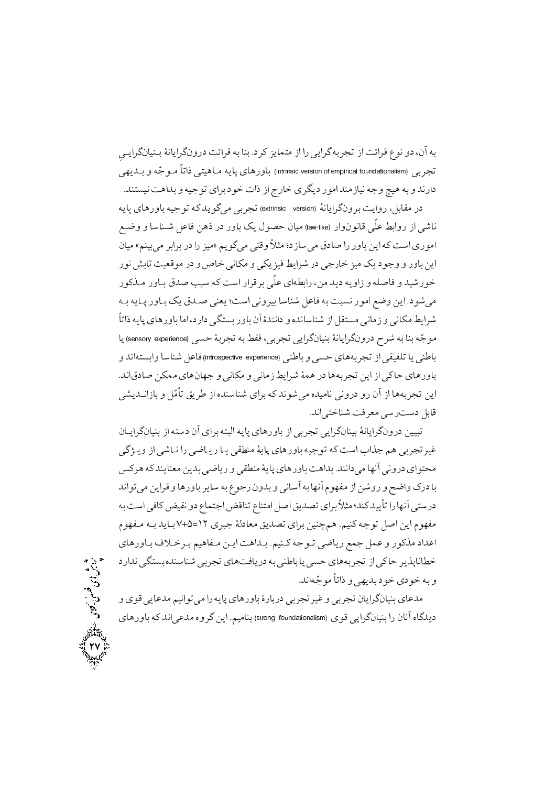به آن، دو نوع قرائت از تجربه گرایی را از متمایز کرد. بنا به قرائت درونگرایانهٔ بـنیانگرایـی تجربي (intrinsic version of empirical foundationalism) باورهاي پايه مــاهيتي ذاتاً مــو جّـه و بــديهي دارند و به هیچ وجه نیازمند امو ر دیگری خارج از ذات خود برای تو جیه و بداهت نیستند.

در مقابل، روايت برونگرايانهٔ (extrinsic version) تجربي مي گويد كه توجيه باورهاي يايه ناشي از روابط علَّمي قانو ن1وار (lawlike) ميان حصو ل يک باور در ذهن فاعل شـناسا و وضـع اموري است كه اين باور را صادق مي سازد؛ مثلاً وقتي مي گويم «ميز را در برابر مي بينم» ميان این باور و وجو د یک میز خارجی در شرایط فیز یکی و مکانی خاص و در موقعیت تابش نو ر خو رشید و فاصله و زاویه دید من، رابطهای علّی بر قرار است که سبب صدق بیاور میذکور مي شود. اين وضع امور نسبت به فاعل شناسا بيروني است؛ يعني صـدق يک بـاور يـايه بـه شرايط مكاني و زماني مستقل از شناسانده و دانندهٔ آن باور بستگي دارد، اما باور هاي پايه ذاتاً موجّه بنا به شرح درونگرايانهٔ بنيانگرايي تجربي، فقط به تجربهٔ حسي (sensory experience) يا .<br>باطني يا تلفيقي از تجربههاي حسبي و باطني (introspective experience) فاعل شناسا وابستهاند و باور های حاکی از این تجربهها در همهٔ شرایط زمانی و مکانی و جهانهای ممکن صادقاند. این تجربهها از آن رو درونی نامیده می شوند که برای شناسنده از طریق تأمّل و بازانــدیشی قابل دست رسي معرفت شناختي اند.

تبیین درونگرایانهٔ بینانگرایی تجربی از باورهای پایه البته برای آن دسته از بنیانگرایـان غیرتجربی هم جذاب است که توجیه باورهای پایهٔ منطقی یـا ریـاضی را نـاشی از ویـژگی محتواي دروني آنها مي دانند. بداهت باورهاي يايهٔ منطقي و رياضي بدين معنايندكه هركس با درک واضح و روشن از مفهوم آنها به أساني و بدون رجوع به ساير باورها و قراين مي تواند درستبي أنها را تأييد كند؛ مثلاً براي تصديق اصل امتناع تناقض اجتماع دو نقيض كافي است به مفهوم اين اصل توجه كنيم. همچنين براي تصديق معادلهٔ جبري ١٢=١٤+٧بـايد بـه مـفهوم اعداد مذكور و عمل جمع رياضي تـوجه كـنيم. بـداهت ايـن مـفاهيم بـرخـلاف بـاورهاي خطاناپذیر حاکی از تجربههای حسی یا باطنی به در یافتهای تجربی شناسنده بستگی ندارد و به خودي خود بديهي و ذاتاً موجّهاند.

مدعاي بنيانگرايان تجربي و غير تجربي دربارهٔ باورهاي يايه را مي توانيم مدعايي قوي و دیدگاه آنان را بنیانگرایی قوی (strong foundationalism) بنامیم. این گروه مدعی اند که باورهای

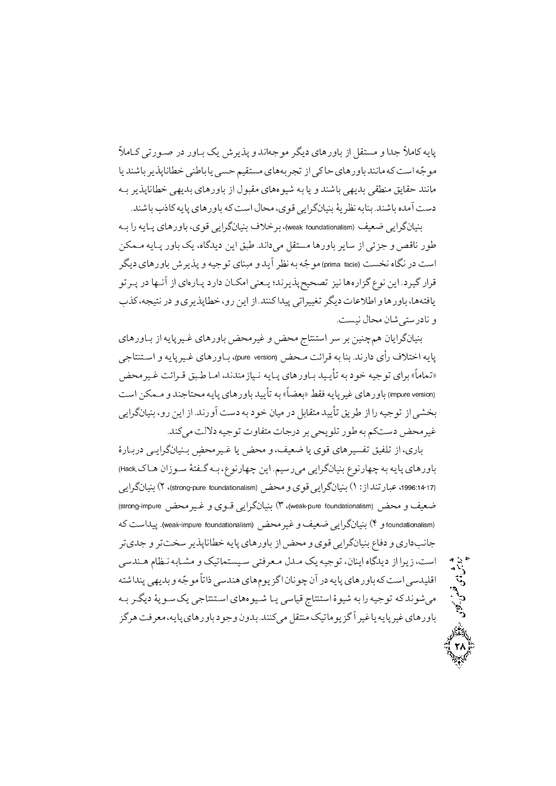«BÇ »Un±Ç nj n°BÇM ½ xo½mQ ° k¯A³]±« o¢½j ºBµn°BM pA ¥Tv« ° Ak] «B ³½BQ B½ k®{BM o½mQB¯Bi »®BM B½ »ve ©¼Tv« ºBµ³Mo\U pA » BeºBµn°BM k®¯B« ³SwA ³]±« ³ÇM o½mQB¯Bi »´½kM ºBµn°BM pA ¤±L« ºBµ²±¼{ ³M B½ ° k®{BM »´½kM »®« ½Be k®¯B« دست آمده باشند. بنابه نظر يهٔ بنيانگر ايي قوي، محال است كه باور هاي پايه كاذب باشند.

³ÇM An ³½BÇQ ºBµn°BM ,º± »½Ao£¬B¼®M ÀioM ,(weak foundationalism) ¼ »½Ao£¬B¼®M ªÇ« ³½BÇQ n°BM ½ ,²B£k½j ½A L /k¯Aj»« ¥Tv« Bµn°BM o½Bw pA Ȁq] °}B¯ n± ° ≥ aquest relations in the sound of the sound of the sound of the sound of the sound of the sound of the sound of the sound of the sound of the sound of the sound of the sound of the sound of the sound of the sound of th قرار گیر د. این نوع گزارهها نیز تصحیح پذیرند؛ یـعنی امکـان دارد پـارهای از آنـها در پـرتو Jm ,³\¼T¯ nj ° ºo½mQBi ,°n ½A pA /k®® Ak¼Q »UAo¼¼U o¢½j RBÀA ° Bµn°BM ,Bµ³TB½ /Sv¼¯ ¤Bd« ¬B{»TwnjB¯ °

ºBµn°BÇM pA ³½BQo¼Ç ºBµn°BMd«o¼ °d« ZBT®TwA ow oM ¼®a©µ ¬B½Ao£¬B¼®M »]BT®TÇwA ° ³½BQo¼Ç ºBµn°BÇM ,(pure version) dǫ SÄAo ³M B®M /k¯nAj ºEn ÀTiA ³½BQ «تماماً» برای تو جیه خو د به تأیید بیاور های پیایه نیاز مندند، امیا طبق قیرائت غیر محض SwA ªÇ« ° k®]BTd« ³½BQ ºBµn°BM k¼½FU ³M <HM> ³½BQo¼ ºBµn°BM (impure version) »½Ao£¬B¼®M ,°n ½A pA /k¯n°C Swj ³M j±i ¬B¼« nj ¥MBT« k¼½FU ½o pA An ³¼]±U pA »zhM غير محض دستكم به طو ر تلو يحي بر درجات متفاوت تو جيه دلالت مي كند.

غیرمحض<br>ض ا<sub>ن</sub> <sub>ناه د</sub>. ¶nBÇMnj »Ç½Ao£¬B¼®ÇM d«o¼Ç B½d« ° ,¼ B½ º± ºBµo¼vU ¼¦U pA ,ºnBM <sup>ß</sup> , and a part of  $\mathcal{L}$  , the state  $\mathcal{L}$  , the state  $\mathcal{L}$  , the state  $\mathcal{L}$ »½Ao£¬B¼®M (2 ,(strong-pure foundationalism) d« ° º± »½Ao£¬B¼®M (1 :pA k®UnBL ,1996:14-17) (strong-impure d«o¼Ç ° º±Ç »½Ao£¬B¼®M (3 ,(weak-pure foundationalism) d« ° ¼ ³ SwAk¼Q /(weak-impure foundationalism) d«o¼ ° ¼ »½Ao£¬B¼®M (4 ° foundationalism) oUºk] ° oUShw o½mQB¯Bi ³½BQ ºBµn°BM pAd« ° º± »½Ao£¬B¼®M Bj ° ºnAjK¯B] »wk®Çµ ¨Bǯ ³MBÇz« ° ¼UBªTv¼Çw »ToÇ« ¤kÇ« ½ ³¼]±U ,¬B®½A ²B£k½j pA Ao½p ,SwA ی عی حد ب∪چیئر ف ریز اس عی در برای چوب چ ³ÇM oÇ¢½j ·½±Çw½ »]BT®TÇwA ºBµ²±¼Ç{ Bǽ »wB¼ ZBT®TwA ¶±¼{ ³M An ³¼]±U ³ k¯±{»« q£oµSo« ,³½BQºBµn°BM j±]° ¬°kM /k®®»« ¥T®«¼UB«±½q£ <sup>C</sup> o¼ B½ ³½BQo¼ ºBµn°BM

. . .